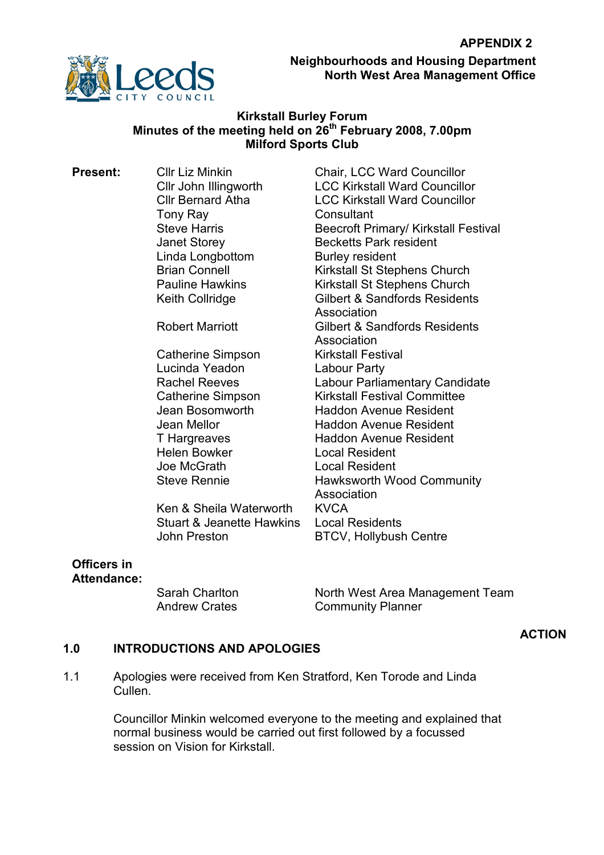

Neighbourhoods and Housing Department North West Area Management Office

### Kirkstall Burley Forum Minutes of the meeting held on 26<sup>th</sup> February 2008, 7.00pm Milford Sports Club

Tony Ray **Consultant** Linda Longbottom Burley resident

Catherine Simpson Kirkstall Festival Lucinda Yeadon Labour Party Helen Bowker Local Resident Joe McGrath Local Resident

Ken & Sheila Waterworth KVCA Stuart & Jeanette Hawkins Local Residents John Preston BTCV, Hollybush Centre

**Present:** Cllr Liz Minkin Chair, LCC Ward Councillor Cllr John Illingworth LCC Kirkstall Ward Councillor Cllr Bernard Atha LCC Kirkstall Ward Councillor Steve Harris **Beecroft Primary/ Kirkstall Festival** Janet Storey Becketts Park resident Brian Connell **Kirkstall St Stephens Church**<br>
Pauline Hawkins **Matter Church**<br>
Kirkstall St Stephens Church Kirkstall St Stephens Church Keith Collridge Gilbert & Sandfords Residents Association Robert Marriott Gilbert & Sandfords Residents Association Rachel Reeves **Labour Parliamentary Candidate** Catherine Simpson Kirkstall Festival Committee Jean Bosomworth Haddon Avenue Resident Jean Mellor **Haddon Avenue Resident** T Hargreaves **Haddon Avenue Resident** Steve Rennie Hawksworth Wood Community **Association** 

### Officers in Attendance:

Sarah Charlton North West Area Management Team Andrew Crates **Community Planner** 

# ACTION

#### 1.0 INTRODUCTIONS AND APOLOGIES

1.1 Apologies were received from Ken Stratford, Ken Torode and Linda Cullen.

> Councillor Minkin welcomed everyone to the meeting and explained that normal business would be carried out first followed by a focussed session on Vision for Kirkstall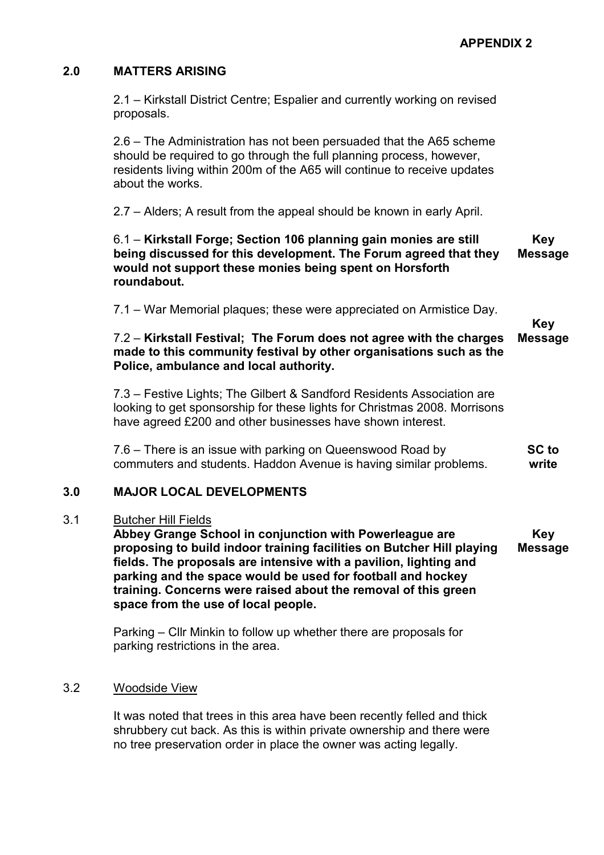## 2.0 MATTERS ARISING

2.1 – Kirkstall District Centre; Espalier and currently working on revised proposals.

2.6 – The Administration has not been persuaded that the A65 scheme should be required to go through the full planning process, however, residents living within 200m of the A65 will continue to receive updates about the works.

2.7 – Alders; A result from the appeal should be known in early April.

### 6.1 – Kirkstall Forge; Section 106 planning gain monies are still being discussed for this development. The Forum agreed that they would not support these monies being spent on Horsforth roundabout. Key Message

7.1 – War Memorial plaques; these were appreciated on Armistice Day.

Key Message

### 7.2 – Kirkstall Festival; The Forum does not agree with the charges made to this community festival by other organisations such as the Police, ambulance and local authority.

7.3 – Festive Lights; The Gilbert & Sandford Residents Association are looking to get sponsorship for these lights for Christmas 2008. Morrisons have agreed £200 and other businesses have shown interest.

7.6 – There is an issue with parking on Queenswood Road by commuters and students. Haddon Avenue is having similar problems. SC to write

#### 3.0 MAJOR LOCAL DEVELOPMENTS

#### 3.1 Butcher Hill Fields

Abbey Grange School in conjunction with Powerleague are proposing to build indoor training facilities on Butcher Hill playing fields. The proposals are intensive with a pavilion, lighting and parking and the space would be used for football and hockey training. Concerns were raised about the removal of this green space from the use of local people. Key Message

Parking – Cllr Minkin to follow up whether there are proposals for parking restrictions in the area.

#### 3.2 Woodside View

It was noted that trees in this area have been recently felled and thick shrubbery cut back. As this is within private ownership and there were no tree preservation order in place the owner was acting legally.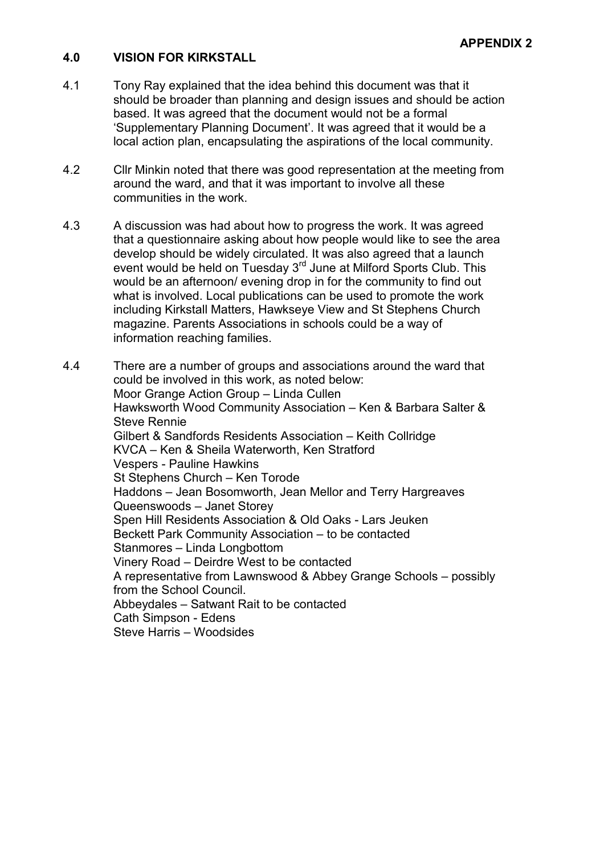#### 4.0 VISION FOR KIRKSTALL

- 4.1 Tony Ray explained that the idea behind this document was that it should be broader than planning and design issues and should be action based. It was agreed that the document would not be a formal 'Supplementary Planning Document'. It was agreed that it would be a local action plan, encapsulating the aspirations of the local community.
- 4.2 Cllr Minkin noted that there was good representation at the meeting from around the ward, and that it was important to involve all these communities in the work.
- 4.3 A discussion was had about how to progress the work. It was agreed that a questionnaire asking about how people would like to see the area develop should be widely circulated. It was also agreed that a launch event would be held on Tuesday 3<sup>rd</sup> June at Milford Sports Club. This would be an afternoon/ evening drop in for the community to find out what is involved. Local publications can be used to promote the work including Kirkstall Matters, Hawkseye View and St Stephens Church magazine. Parents Associations in schools could be a way of information reaching families.
- 4.4 There are a number of groups and associations around the ward that could be involved in this work, as noted below: Moor Grange Action Group – Linda Cullen Hawksworth Wood Community Association – Ken & Barbara Salter & Steve Rennie Gilbert & Sandfords Residents Association – Keith Collridge KVCA – Ken & Sheila Waterworth, Ken Stratford Vespers - Pauline Hawkins St Stephens Church – Ken Torode Haddons – Jean Bosomworth, Jean Mellor and Terry Hargreaves Queenswoods – Janet Storey Spen Hill Residents Association & Old Oaks - Lars Jeuken Beckett Park Community Association – to be contacted Stanmores – Linda Longbottom Vinery Road – Deirdre West to be contacted A representative from Lawnswood & Abbey Grange Schools – possibly from the School Council. Abbeydales – Satwant Rait to be contacted Cath Simpson - Edens Steve Harris – Woodsides